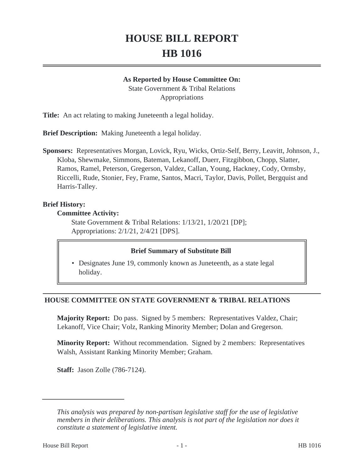# **HOUSE BILL REPORT HB 1016**

#### **As Reported by House Committee On:**

State Government & Tribal Relations Appropriations

**Title:** An act relating to making Juneteenth a legal holiday.

**Brief Description:** Making Juneteenth a legal holiday.

**Sponsors:** Representatives Morgan, Lovick, Ryu, Wicks, Ortiz-Self, Berry, Leavitt, Johnson, J., Kloba, Shewmake, Simmons, Bateman, Lekanoff, Duerr, Fitzgibbon, Chopp, Slatter, Ramos, Ramel, Peterson, Gregerson, Valdez, Callan, Young, Hackney, Cody, Ormsby, Riccelli, Rude, Stonier, Fey, Frame, Santos, Macri, Taylor, Davis, Pollet, Bergquist and Harris-Talley.

### **Brief History:**

#### **Committee Activity:**

State Government & Tribal Relations: 1/13/21, 1/20/21 [DP]; Appropriations: 2/1/21, 2/4/21 [DPS].

### **Brief Summary of Substitute Bill**

• Designates June 19, commonly known as Juneteenth, as a state legal holiday.

# **HOUSE COMMITTEE ON STATE GOVERNMENT & TRIBAL RELATIONS**

**Majority Report:** Do pass. Signed by 5 members: Representatives Valdez, Chair; Lekanoff, Vice Chair; Volz, Ranking Minority Member; Dolan and Gregerson.

**Minority Report:** Without recommendation. Signed by 2 members: Representatives Walsh, Assistant Ranking Minority Member; Graham.

**Staff:** Jason Zolle (786-7124).

*This analysis was prepared by non-partisan legislative staff for the use of legislative members in their deliberations. This analysis is not part of the legislation nor does it constitute a statement of legislative intent.*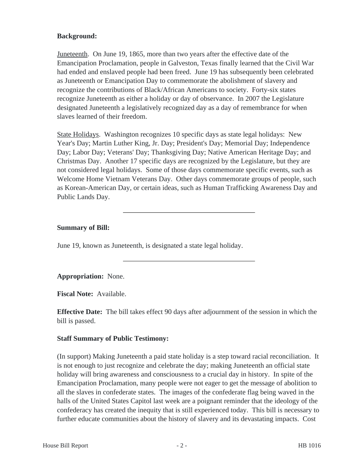## **Background:**

Juneteenth. On June 19, 1865, more than two years after the effective date of the Emancipation Proclamation, people in Galveston, Texas finally learned that the Civil War had ended and enslaved people had been freed. June 19 has subsequently been celebrated as Juneteenth or Emancipation Day to commemorate the abolishment of slavery and recognize the contributions of Black/African Americans to society. Forty-six states recognize Juneteenth as either a holiday or day of observance. In 2007 the Legislature designated Juneteenth a legislatively recognized day as a day of remembrance for when slaves learned of their freedom.

State Holidays. Washington recognizes 10 specific days as state legal holidays: New Year's Day; Martin Luther King, Jr. Day; President's Day; Memorial Day; Independence Day; Labor Day; Veterans' Day; Thanksgiving Day; Native American Heritage Day; and Christmas Day. Another 17 specific days are recognized by the Legislature, but they are not considered legal holidays. Some of those days commemorate specific events, such as Welcome Home Vietnam Veterans Day. Other days commemorate groups of people, such as Korean-American Day, or certain ideas, such as Human Trafficking Awareness Day and Public Lands Day.

# **Summary of Bill:**

June 19, known as Juneteenth, is designated a state legal holiday.

**Appropriation:** None.

**Fiscal Note:** Available.

**Effective Date:** The bill takes effect 90 days after adjournment of the session in which the bill is passed.

### **Staff Summary of Public Testimony:**

(In support) Making Juneteenth a paid state holiday is a step toward racial reconciliation. It is not enough to just recognize and celebrate the day; making Juneteenth an official state holiday will bring awareness and consciousness to a crucial day in history. In spite of the Emancipation Proclamation, many people were not eager to get the message of abolition to all the slaves in confederate states. The images of the confederate flag being waved in the halls of the United States Capitol last week are a poignant reminder that the ideology of the confederacy has created the inequity that is still experienced today. This bill is necessary to further educate communities about the history of slavery and its devastating impacts. Cost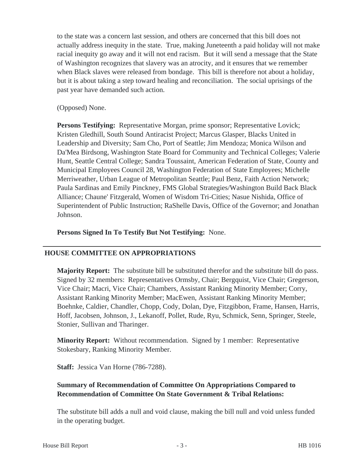to the state was a concern last session, and others are concerned that this bill does not actually address inequity in the state. True, making Juneteenth a paid holiday will not make racial inequity go away and it will not end racism. But it will send a message that the State of Washington recognizes that slavery was an atrocity, and it ensures that we remember when Black slaves were released from bondage. This bill is therefore not about a holiday, but it is about taking a step toward healing and reconciliation. The social uprisings of the past year have demanded such action.

#### (Opposed) None.

**Persons Testifying:** Representative Morgan, prime sponsor; Representative Lovick; Kristen Gledhill, South Sound Antiracist Project; Marcus Glasper, Blacks United in Leadership and Diversity; Sam Cho, Port of Seattle; Jim Mendoza; Monica Wilson and Da'Mea Birdsong, Washington State Board for Community and Technical Colleges; Valerie Hunt, Seattle Central College; Sandra Toussaint, American Federation of State, County and Municipal Employees Council 28, Washington Federation of State Employees; Michelle Merriweather, Urban League of Metropolitan Seattle; Paul Benz, Faith Action Network; Paula Sardinas and Emily Pinckney, FMS Global Strategies/Washington Build Back Black Alliance; Chaune' Fitzgerald, Women of Wisdom Tri-Cities; Nasue Nishida, Office of Superintendent of Public Instruction; RaShelle Davis, Office of the Governor; and Jonathan Johnson.

**Persons Signed In To Testify But Not Testifying:** None.

### **HOUSE COMMITTEE ON APPROPRIATIONS**

**Majority Report:** The substitute bill be substituted therefor and the substitute bill do pass. Signed by 32 members: Representatives Ormsby, Chair; Bergquist, Vice Chair; Gregerson, Vice Chair; Macri, Vice Chair; Chambers, Assistant Ranking Minority Member; Corry, Assistant Ranking Minority Member; MacEwen, Assistant Ranking Minority Member; Boehnke, Caldier, Chandler, Chopp, Cody, Dolan, Dye, Fitzgibbon, Frame, Hansen, Harris, Hoff, Jacobsen, Johnson, J., Lekanoff, Pollet, Rude, Ryu, Schmick, Senn, Springer, Steele, Stonier, Sullivan and Tharinger.

**Minority Report:** Without recommendation. Signed by 1 member: Representative Stokesbary, Ranking Minority Member.

**Staff:** Jessica Van Horne (786-7288).

# **Summary of Recommendation of Committee On Appropriations Compared to Recommendation of Committee On State Government & Tribal Relations:**

The substitute bill adds a null and void clause, making the bill null and void unless funded in the operating budget.